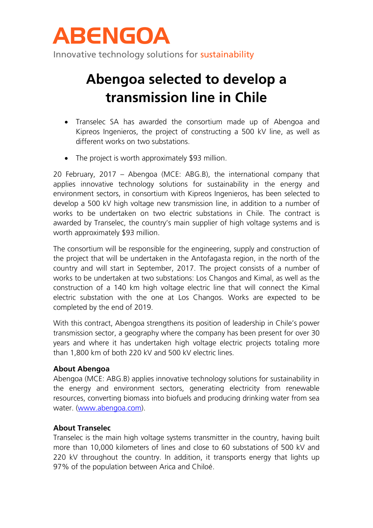

Innovative technology solutions for sustainability

# **Abengoa selected to develop a transmission line in Chile**

- Transelec SA has awarded the consortium made up of Abengoa and Kipreos Ingenieros, the project of constructing a 500 kV line, as well as different works on two substations.
- The project is worth approximately \$93 million.

20 February, 2017 – Abengoa (MCE: ABG.B), the international company that applies innovative technology solutions for sustainability in the energy and environment sectors, in consortium with Kipreos Ingenieros, has been selected to develop a 500 kV high voltage new transmission line, in addition to a number of works to be undertaken on two electric substations in Chile. The contract is awarded by Transelec, the country's main supplier of high voltage systems and is worth approximately \$93 million.

The consortium will be responsible for the engineering, supply and construction of the project that will be undertaken in the Antofagasta region, in the north of the country and will start in September, 2017. The project consists of a number of works to be undertaken at two substations: Los Changos and Kimal, as well as the construction of a 140 km high voltage electric line that will connect the Kimal electric substation with the one at Los Changos. Works are expected to be completed by the end of 2019.

With this contract, Abengoa strengthens its position of leadership in Chile's power transmission sector, a geography where the company has been present for over 30 years and where it has undertaken high voltage electric projects totaling more than 1,800 km of both 220 kV and 500 kV electric lines.

#### **About Abengoa**

Abengoa (MCE: ABG.B) applies innovative technology solutions for sustainability in the energy and environment sectors, generating electricity from renewable resources, converting biomass into biofuels and producing drinking water from sea water. [\(www.abengoa.com\)](http://www.abengoa.com/).

## **About Transelec**

Transelec is the main high voltage systems transmitter in the country, having built more than 10,000 kilometers of lines and close to 60 substations of 500 kV and 220 kV throughout the country. In addition, it transports energy that lights up 97% of the population between Arica and Chiloé.